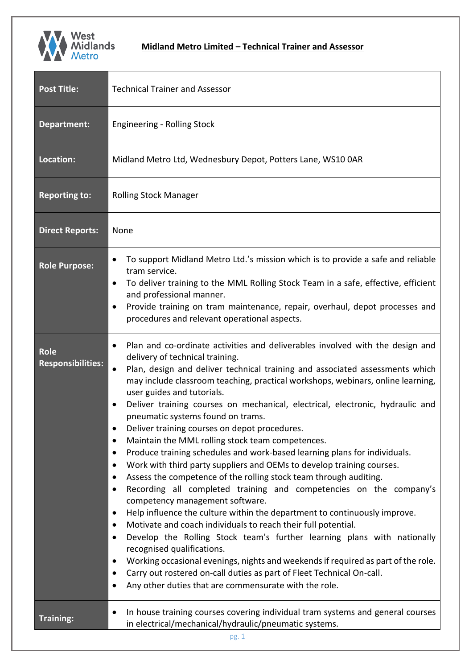

| <b>Post Title:</b>                      | <b>Technical Trainer and Assessor</b>                                                                                                                                                                                                                                                                                                                                                                                                                                                                                                                                                                                                                                                                                                                                                                                                                                                                                                                                                                                                                                                                                                                                                                                                                                                                                                                                                                                                                                    |  |
|-----------------------------------------|--------------------------------------------------------------------------------------------------------------------------------------------------------------------------------------------------------------------------------------------------------------------------------------------------------------------------------------------------------------------------------------------------------------------------------------------------------------------------------------------------------------------------------------------------------------------------------------------------------------------------------------------------------------------------------------------------------------------------------------------------------------------------------------------------------------------------------------------------------------------------------------------------------------------------------------------------------------------------------------------------------------------------------------------------------------------------------------------------------------------------------------------------------------------------------------------------------------------------------------------------------------------------------------------------------------------------------------------------------------------------------------------------------------------------------------------------------------------------|--|
| Department:                             | <b>Engineering - Rolling Stock</b>                                                                                                                                                                                                                                                                                                                                                                                                                                                                                                                                                                                                                                                                                                                                                                                                                                                                                                                                                                                                                                                                                                                                                                                                                                                                                                                                                                                                                                       |  |
| Location:                               | Midland Metro Ltd, Wednesbury Depot, Potters Lane, WS10 0AR                                                                                                                                                                                                                                                                                                                                                                                                                                                                                                                                                                                                                                                                                                                                                                                                                                                                                                                                                                                                                                                                                                                                                                                                                                                                                                                                                                                                              |  |
| <b>Reporting to:</b>                    | <b>Rolling Stock Manager</b>                                                                                                                                                                                                                                                                                                                                                                                                                                                                                                                                                                                                                                                                                                                                                                                                                                                                                                                                                                                                                                                                                                                                                                                                                                                                                                                                                                                                                                             |  |
| <b>Direct Reports:</b>                  | None                                                                                                                                                                                                                                                                                                                                                                                                                                                                                                                                                                                                                                                                                                                                                                                                                                                                                                                                                                                                                                                                                                                                                                                                                                                                                                                                                                                                                                                                     |  |
| <b>Role Purpose:</b>                    | To support Midland Metro Ltd.'s mission which is to provide a safe and reliable<br>٠<br>tram service.<br>To deliver training to the MML Rolling Stock Team in a safe, effective, efficient<br>$\bullet$<br>and professional manner.<br>Provide training on tram maintenance, repair, overhaul, depot processes and<br>٠<br>procedures and relevant operational aspects.                                                                                                                                                                                                                                                                                                                                                                                                                                                                                                                                                                                                                                                                                                                                                                                                                                                                                                                                                                                                                                                                                                  |  |
| <b>Role</b><br><b>Responsibilities:</b> | Plan and co-ordinate activities and deliverables involved with the design and<br>$\bullet$<br>delivery of technical training.<br>Plan, design and deliver technical training and associated assessments which<br>may include classroom teaching, practical workshops, webinars, online learning,<br>user guides and tutorials.<br>Deliver training courses on mechanical, electrical, electronic, hydraulic and<br>$\bullet$<br>pneumatic systems found on trams.<br>Deliver training courses on depot procedures.<br>Maintain the MML rolling stock team competences.<br>Produce training schedules and work-based learning plans for individuals.<br>$\bullet$<br>Work with third party suppliers and OEMs to develop training courses.<br>$\bullet$<br>Assess the competence of the rolling stock team through auditing.<br>$\bullet$<br>Recording all completed training and competencies on the company's<br>$\bullet$<br>competency management software.<br>Help influence the culture within the department to continuously improve.<br>$\bullet$<br>Motivate and coach individuals to reach their full potential.<br>٠<br>Develop the Rolling Stock team's further learning plans with nationally<br>٠<br>recognised qualifications.<br>Working occasional evenings, nights and weekends if required as part of the role.<br>Carry out rostered on-call duties as part of Fleet Technical On-call.<br>٠<br>Any other duties that are commensurate with the role. |  |
| <b>Training:</b>                        | In house training courses covering individual tram systems and general courses<br>٠<br>in electrical/mechanical/hydraulic/pneumatic systems.                                                                                                                                                                                                                                                                                                                                                                                                                                                                                                                                                                                                                                                                                                                                                                                                                                                                                                                                                                                                                                                                                                                                                                                                                                                                                                                             |  |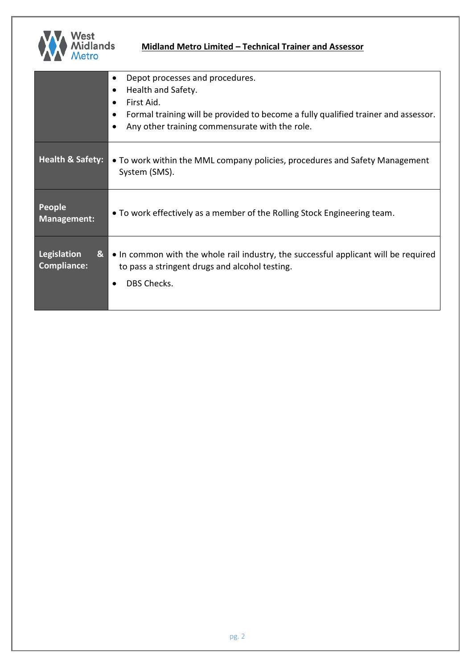

## **Midland Metro Limited – Technical Trainer and Assessor**

|                                        | Depot processes and procedures.<br>٠<br>Health and Safety.<br>$\bullet$<br>First Aid.<br>$\bullet$<br>Formal training will be provided to become a fully qualified trainer and assessor.<br>$\bullet$<br>Any other training commensurate with the role.<br>$\bullet$ |
|----------------------------------------|----------------------------------------------------------------------------------------------------------------------------------------------------------------------------------------------------------------------------------------------------------------------|
| <b>Health &amp; Safety:</b>            | • To work within the MML company policies, procedures and Safety Management<br>System (SMS).                                                                                                                                                                         |
| People<br><b>Management:</b>           | • To work effectively as a member of the Rolling Stock Engineering team.                                                                                                                                                                                             |
| Legislation<br>&<br><b>Compliance:</b> | • In common with the whole rail industry, the successful applicant will be required<br>to pass a stringent drugs and alcohol testing.<br><b>DBS Checks.</b>                                                                                                          |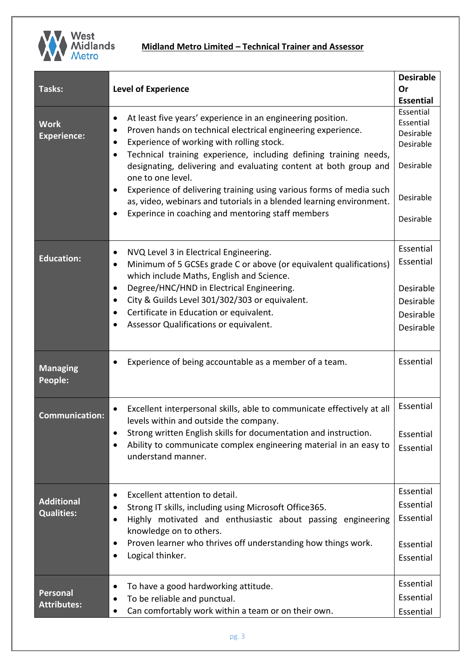

| Tasks:                                 | <b>Level of Experience</b>                                                                                                                                                                                                                                                                                                                                                                                                                                                                                                                                                                          | <b>Desirable</b><br>Or<br><b>Essential</b>                                              |
|----------------------------------------|-----------------------------------------------------------------------------------------------------------------------------------------------------------------------------------------------------------------------------------------------------------------------------------------------------------------------------------------------------------------------------------------------------------------------------------------------------------------------------------------------------------------------------------------------------------------------------------------------------|-----------------------------------------------------------------------------------------|
| <b>Work</b><br><b>Experience:</b>      | At least five years' experience in an engineering position.<br>$\bullet$<br>Proven hands on technical electrical engineering experience.<br>٠<br>Experience of working with rolling stock.<br>$\bullet$<br>Technical training experience, including defining training needs,<br>designating, delivering and evaluating content at both group and<br>one to one level.<br>Experience of delivering training using various forms of media such<br>$\bullet$<br>as, video, webinars and tutorials in a blended learning environment.<br>Experince in coaching and mentoring staff members<br>$\bullet$ | Essential<br>Essential<br>Desirable<br>Desirable<br>Desirable<br>Desirable<br>Desirable |
| <b>Education:</b>                      | NVQ Level 3 in Electrical Engineering.<br>$\bullet$<br>Minimum of 5 GCSEs grade C or above (or equivalent qualifications)<br>$\bullet$<br>which include Maths, English and Science.<br>Degree/HNC/HND in Electrical Engineering.<br>City & Guilds Level 301/302/303 or equivalent.<br>$\bullet$<br>Certificate in Education or equivalent.<br>$\bullet$<br>Assessor Qualifications or equivalent.                                                                                                                                                                                                   | Essential<br>Essential<br>Desirable<br>Desirable<br>Desirable<br>Desirable              |
| <b>Managing</b><br>People:             | Experience of being accountable as a member of a team.                                                                                                                                                                                                                                                                                                                                                                                                                                                                                                                                              | Essential                                                                               |
| <b>Communication:</b>                  | Excellent interpersonal skills, able to communicate effectively at all<br>$\bullet$<br>levels within and outside the company.<br>Strong written English skills for documentation and instruction.<br>Ability to communicate complex engineering material in an easy to<br>understand manner.                                                                                                                                                                                                                                                                                                        | Essential<br>Essential<br>Essential                                                     |
| <b>Additional</b><br><b>Qualities:</b> | Excellent attention to detail.<br>$\bullet$<br>Strong IT skills, including using Microsoft Office365.<br>Highly motivated and enthusiastic about passing engineering<br>knowledge on to others.<br>Proven learner who thrives off understanding how things work.<br>٠<br>Logical thinker.<br>٠                                                                                                                                                                                                                                                                                                      | Essential<br>Essential<br>Essential<br>Essential<br>Essential                           |
| Personal<br><b>Attributes:</b>         | To have a good hardworking attitude.<br>$\bullet$<br>To be reliable and punctual.<br>Can comfortably work within a team or on their own.                                                                                                                                                                                                                                                                                                                                                                                                                                                            | Essential<br>Essential<br>Essential                                                     |